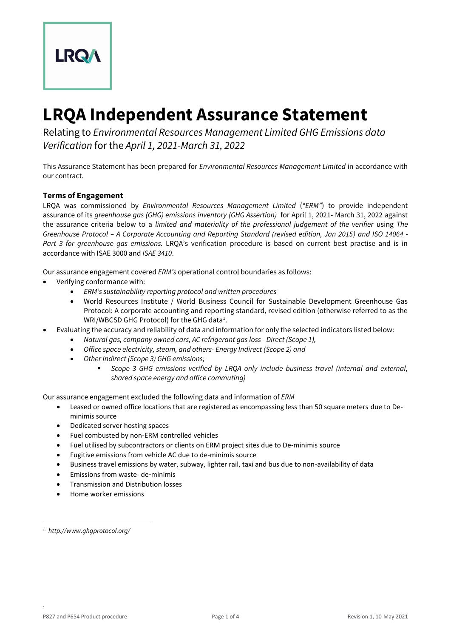

# **LRQA Independent Assurance Statement**

Relating to *Environmental Resources Management Limited GHG Emissions data Verification* for the *April 1, 2021-March 31, 2022*

This Assurance Statement has been prepared for *Environmental Resources Management Limited* in accordance with our contract.

## **Terms of Engagement**

LRQA was commissioned by *Environmental Resources Management Limited* (*"ERM"*) to provide independent assurance of its *greenhouse gas (GHG) emissions inventory (GHG Assertion)* for April 1, 2021- March 31, 2022 against the assurance criteria below to a *limited and materiality of the professional judgement of the verifier* using *The Greenhouse Protocol – A Corporate Accounting and Reporting Standard (revised edition, Jan 2015) and ISO 14064 - Part 3 for greenhouse gas emissions.* LRQA's verification procedure is based on current best practise and is in accordance with ISAE 3000 and *ISAE 3410*.

Our assurance engagement covered *ERM's* operational control boundaries as follows:

- Verifying conformance with:
	- *ERM's sustainability reporting protocol and written procedures*
	- World Resources Institute / World Business Council for Sustainable Development Greenhouse Gas Protocol: A corporate accounting and reporting standard, revised edition (otherwise referred to as the  $WRI/WBCSD$  GHG Protocol) for the GHG data<sup>1</sup>.
- Evaluating the accuracy and reliability of data and information for only the selected indicators listed below:
	- *Natural gas, company owned cars, AC refrigerant gas loss - Direct (Scope 1),*
	- *Office space electricity, steam, and others- Energy Indirect (Scope 2) and*
	- *Other Indirect (Scope 3) GHG emissions;*
		- *Scope 3 GHG emissions verified by LRQA only include business travel (internal and external, shared space energy and office commuting)*

Our assurance engagement excluded the following data and information of *ERM*

- Leased or owned office locations that are registered as encompassing less than 50 square meters due to Deminimis source
- Dedicated server hosting spaces
- Fuel combusted by non-ERM controlled vehicles
- Fuel utilised by subcontractors or clients on ERM project sites due to De-minimis source
- Fugitive emissions from vehicle AC due to de-minimis source
- Business travel emissions by water, subway, lighter rail, taxi and bus due to non-availability of data
- Emissions from waste- de-minimis
- Transmission and Distribution losses
- Home worker emissions

.

*<sup>1.</sup> http://www.ghgprotocol.org/*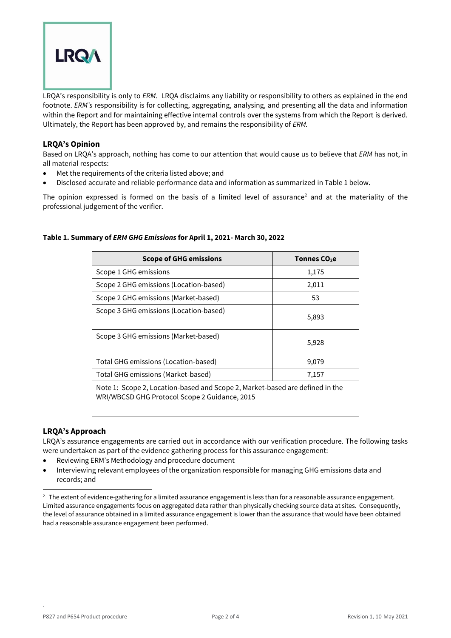

LRQA's responsibility is only to *ERM*. LRQA disclaims any liability or responsibility to others as explained in the end footnote. *ERM's* responsibility is for collecting, aggregating, analysing, and presenting all the data and information within the Report and for maintaining effective internal controls over the systems from which the Report is derived. Ultimately, the Report has been approved by, and remains the responsibility of *ERM.*

## **LRQA's Opinion**

Based on LRQA's approach, nothing has come to our attention that would cause us to believe that *ERM* has not, in all material respects:

- Met the requirements of the criteria listed above; and
- Disclosed accurate and reliable performance data and information as summarized in Table 1 below.

The opinion expressed is formed on the basis of a limited level of assurance<sup>2</sup> and at the materiality of the professional judgement of the verifier.

| <b>Scope of GHG emissions</b>                                                                                                 | Tonnes CO <sub>2</sub> e |
|-------------------------------------------------------------------------------------------------------------------------------|--------------------------|
| Scope 1 GHG emissions                                                                                                         | 1,175                    |
| Scope 2 GHG emissions (Location-based)                                                                                        | 2,011                    |
| Scope 2 GHG emissions (Market-based)                                                                                          | 53                       |
| Scope 3 GHG emissions (Location-based)                                                                                        | 5,893                    |
| Scope 3 GHG emissions (Market-based)                                                                                          | 5,928                    |
| Total GHG emissions (Location-based)                                                                                          | 9,079                    |
| Total GHG emissions (Market-based)                                                                                            | 7,157                    |
| Note 1: Scope 2, Location-based and Scope 2, Market-based are defined in the<br>WRI/WBCSD GHG Protocol Scope 2 Guidance, 2015 |                          |

## **Table 1. Summary of** *ERM GHG Emissions* **for April 1, 2021- March 30, 2022**

## **LRQA's Approach**

LRQA's assurance engagements are carried out in accordance with our verification procedure. The following tasks were undertaken as part of the evidence gathering process for this assurance engagement:

- Reviewing ERM's Methodology and procedure document
- Interviewing relevant employees of the organization responsible for managing GHG emissions data and records; and

.

 $2$ . The extent of evidence-gathering for a limited assurance engagement is less than for a reasonable assurance engagement. Limited assurance engagements focus on aggregated data rather than physically checking source data at sites. Consequently, the level of assurance obtained in a limited assurance engagement is lower than the assurance that would have been obtained had a reasonable assurance engagement been performed.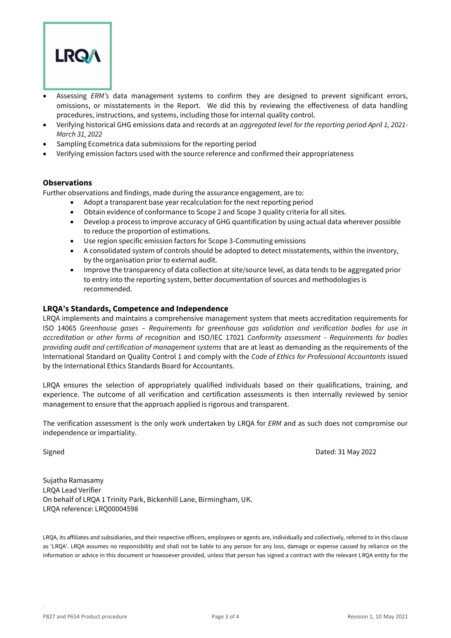

- Assessing *ERM's* data management systems to confirm they are designed to prevent significant errors, omissions, or misstatements in the Report. We did this by reviewing the effectiveness of data handling procedures, instructions, and systems, including those for internal quality control.
- Verifying historical GHG emissions data and records at an *aggregated level for the reporting period April 1, 2021- March 31, 2022*
- Sampling Ecometrica data submissions for the reporting period
- Verifying emission factors used with the source reference and confirmed their appropriateness

#### **Observations**

Further observations and findings, made during the assurance engagement, are to:

- Adopt a transparent base year recalculation for the next reporting period
- Obtain evidence of conformance to Scope 2 and Scope 3 quality criteria for all sites.
- Develop a process to improve accuracy of GHG quantification by using actual data wherever possible to reduce the proportion of estimations.
- Use region specific emission factors for Scope 3-Commuting emissions
- A consolidated system of controls should be adopted to detect misstatements, within the inventory, by the organisation prior to external audit.
- Improve the transparency of data collection at site/source level, as data tends to be aggregated prior to entry into the reporting system, better documentation of sources and methodologies is recommended.

#### **LRQA's Standards, Competence and Independence**

LRQA implements and maintains a comprehensive management system that meets accreditation requirements for ISO 14065 *Greenhouse gases – Requirements for greenhouse gas validation and verification bodies for use in accreditation or other forms of recognition* and ISO/IEC 17021 *Conformity assessment – Requirements for bodies providing audit and certification of management systems* that are at least as demanding as the requirements of the International Standard on Quality Control 1 and comply with the *Code of Ethics for Professional Accountants* issued by the International Ethics Standards Board for Accountants.

LRQA ensures the selection of appropriately qualified individuals based on their qualifications, training, and experience. The outcome of all verification and certification assessments is then internally reviewed by senior management to ensure that the approach applied is rigorous and transparent.

The verification assessment is the only work undertaken by LRQA for *ERM* and as such does not compromise our independence or impartiality.

.

Signed Dated: 31 May 2022

Sujatha Ramasamy LRQA Lead Verifier On behalf of LRQA 1 Trinity Park, Bickenhill Lane, Birmingham, UK. LRQA reference: LRQ00004598

LRQA, its affiliates and subsidiaries, and their respective officers, employees or agents are, individually and collectively, referred to in this clause as 'LRQA'. LRQA assumes no responsibility and shall not be liable to any person for any loss, damage or expense caused by reliance on the information or advice in this document or howsoever provided, unless that person has signed a contract with the relevant LRQA entity for the